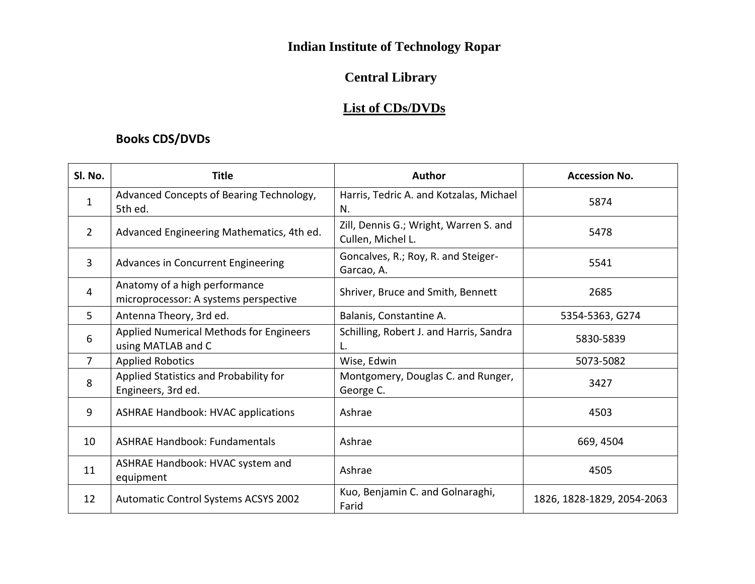# **Indian Institute of Technology Ropar**

# **Central Library**

### **List of CDs/DVDs**

### **Books CDS/DVDs**

| SI. No.        | <b>Title</b>                                                           | Author                                                      | <b>Accession No.</b>       |
|----------------|------------------------------------------------------------------------|-------------------------------------------------------------|----------------------------|
| 1              | Advanced Concepts of Bearing Technology,<br>5th ed.                    | Harris, Tedric A. and Kotzalas, Michael<br>N.               | 5874                       |
| 2              | Advanced Engineering Mathematics, 4th ed.                              | Zill, Dennis G.; Wright, Warren S. and<br>Cullen, Michel L. | 5478                       |
| $\overline{3}$ | Advances in Concurrent Engineering                                     | Goncalves, R.; Roy, R. and Steiger-<br>Garcao, A.           | 5541                       |
| 4              | Anatomy of a high performance<br>microprocessor: A systems perspective | Shriver, Bruce and Smith, Bennett                           | 2685                       |
| 5.             | Antenna Theory, 3rd ed.                                                | Balanis, Constantine A.                                     | 5354-5363, G274            |
| 6              | Applied Numerical Methods for Engineers<br>using MATLAB and C          | Schilling, Robert J. and Harris, Sandra                     | 5830-5839                  |
| 7              | <b>Applied Robotics</b>                                                | Wise, Edwin                                                 | 5073-5082                  |
| 8              | Applied Statistics and Probability for<br>Engineers, 3rd ed.           | Montgomery, Douglas C. and Runger,<br>George C.             | 3427                       |
| 9              | <b>ASHRAE Handbook: HVAC applications</b>                              | Ashrae                                                      | 4503                       |
| 10             | <b>ASHRAE Handbook: Fundamentals</b>                                   | Ashrae                                                      | 669, 4504                  |
| 11             | ASHRAE Handbook: HVAC system and<br>equipment                          | Ashrae                                                      | 4505                       |
| 12             | Automatic Control Systems ACSYS 2002                                   | Kuo, Benjamin C. and Golnaraghi,<br>Farid                   | 1826, 1828-1829, 2054-2063 |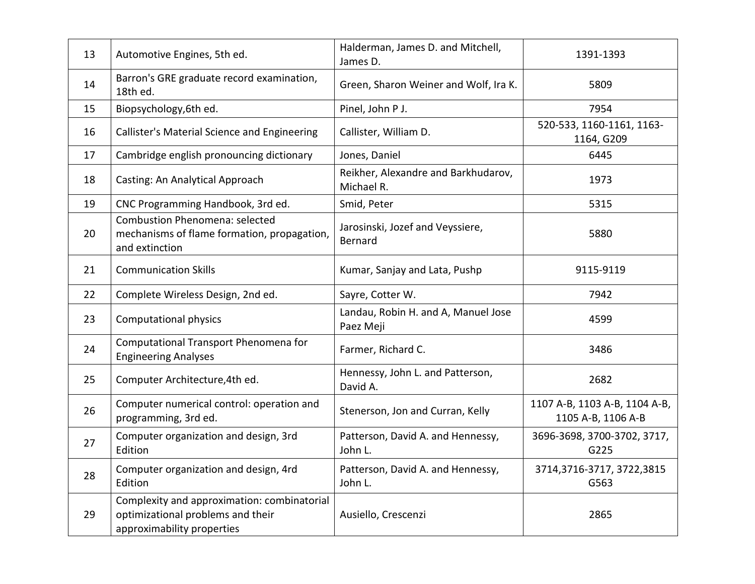| 13 | Automotive Engines, 5th ed.                                                                                    | Halderman, James D. and Mitchell,<br>James D.     | 1391-1393                                           |
|----|----------------------------------------------------------------------------------------------------------------|---------------------------------------------------|-----------------------------------------------------|
| 14 | Barron's GRE graduate record examination,<br>18th ed.                                                          | Green, Sharon Weiner and Wolf, Ira K.             | 5809                                                |
| 15 | Biopsychology, 6th ed.                                                                                         | Pinel, John P J.                                  | 7954                                                |
| 16 | Callister's Material Science and Engineering                                                                   | Callister, William D.                             | 520-533, 1160-1161, 1163-<br>1164, G209             |
| 17 | Cambridge english pronouncing dictionary                                                                       | Jones, Daniel                                     | 6445                                                |
| 18 | Casting: An Analytical Approach                                                                                | Reikher, Alexandre and Barkhudarov,<br>Michael R. | 1973                                                |
| 19 | CNC Programming Handbook, 3rd ed.                                                                              | Smid, Peter                                       | 5315                                                |
| 20 | <b>Combustion Phenomena: selected</b><br>mechanisms of flame formation, propagation,<br>and extinction         | Jarosinski, Jozef and Veyssiere,<br>Bernard       | 5880                                                |
| 21 | <b>Communication Skills</b>                                                                                    | Kumar, Sanjay and Lata, Pushp                     | 9115-9119                                           |
| 22 | Complete Wireless Design, 2nd ed.                                                                              | Sayre, Cotter W.                                  | 7942                                                |
| 23 | Computational physics                                                                                          | Landau, Robin H. and A, Manuel Jose<br>Paez Meji  | 4599                                                |
| 24 | Computational Transport Phenomena for<br><b>Engineering Analyses</b>                                           | Farmer, Richard C.                                | 3486                                                |
| 25 | Computer Architecture, 4th ed.                                                                                 | Hennessy, John L. and Patterson,<br>David A.      | 2682                                                |
| 26 | Computer numerical control: operation and<br>programming, 3rd ed.                                              | Stenerson, Jon and Curran, Kelly                  | 1107 A-B, 1103 A-B, 1104 A-B,<br>1105 A-B, 1106 A-B |
| 27 | Computer organization and design, 3rd<br>Edition                                                               | Patterson, David A. and Hennessy,<br>John L.      | 3696-3698, 3700-3702, 3717,<br>G225                 |
| 28 | Computer organization and design, 4rd<br>Edition                                                               | Patterson, David A. and Hennessy,<br>John L.      | 3714,3716-3717, 3722,3815<br>G563                   |
| 29 | Complexity and approximation: combinatorial<br>optimizational problems and their<br>approximability properties | Ausiello, Crescenzi                               | 2865                                                |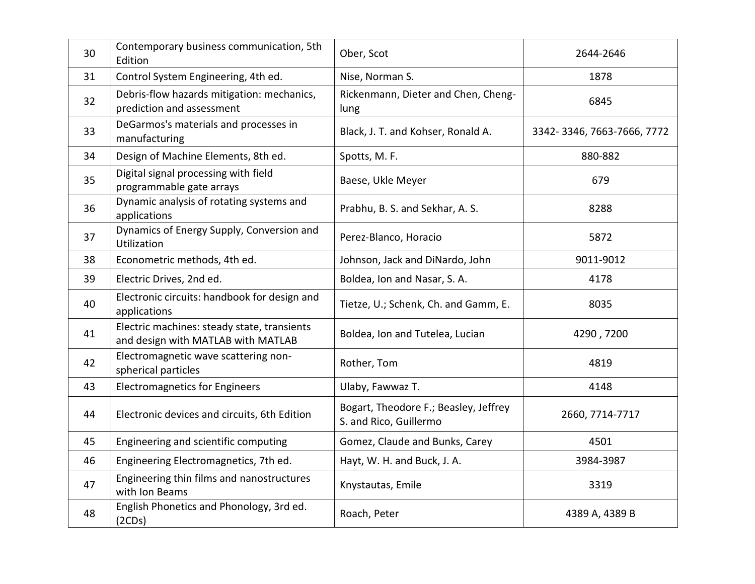| 30 | Contemporary business communication, 5th<br>Edition                               | Ober, Scot                                                      | 2644-2646                  |
|----|-----------------------------------------------------------------------------------|-----------------------------------------------------------------|----------------------------|
| 31 | Control System Engineering, 4th ed.                                               | Nise, Norman S.                                                 | 1878                       |
| 32 | Debris-flow hazards mitigation: mechanics,<br>prediction and assessment           | Rickenmann, Dieter and Chen, Cheng-<br>lung                     | 6845                       |
| 33 | DeGarmos's materials and processes in<br>manufacturing                            | Black, J. T. and Kohser, Ronald A.                              | 3342-3346, 7663-7666, 7772 |
| 34 | Design of Machine Elements, 8th ed.                                               | Spotts, M. F.                                                   | 880-882                    |
| 35 | Digital signal processing with field<br>programmable gate arrays                  | Baese, Ukle Meyer                                               | 679                        |
| 36 | Dynamic analysis of rotating systems and<br>applications                          | Prabhu, B. S. and Sekhar, A. S.                                 | 8288                       |
| 37 | Dynamics of Energy Supply, Conversion and<br><b>Utilization</b>                   | Perez-Blanco, Horacio                                           | 5872                       |
| 38 | Econometric methods, 4th ed.                                                      | Johnson, Jack and DiNardo, John                                 | 9011-9012                  |
| 39 | Electric Drives, 2nd ed.                                                          | Boldea, Ion and Nasar, S.A.                                     | 4178                       |
| 40 | Electronic circuits: handbook for design and<br>applications                      | Tietze, U.; Schenk, Ch. and Gamm, E.                            | 8035                       |
| 41 | Electric machines: steady state, transients<br>and design with MATLAB with MATLAB | Boldea, Ion and Tutelea, Lucian                                 | 4290,7200                  |
| 42 | Electromagnetic wave scattering non-<br>spherical particles                       | Rother, Tom                                                     | 4819                       |
| 43 | <b>Electromagnetics for Engineers</b>                                             | Ulaby, Fawwaz T.                                                | 4148                       |
| 44 | Electronic devices and circuits, 6th Edition                                      | Bogart, Theodore F.; Beasley, Jeffrey<br>S. and Rico, Guillermo | 2660, 7714-7717            |
| 45 | Engineering and scientific computing                                              | Gomez, Claude and Bunks, Carey                                  | 4501                       |
| 46 | Engineering Electromagnetics, 7th ed.                                             | Hayt, W. H. and Buck, J. A.                                     | 3984-3987                  |
| 47 | Engineering thin films and nanostructures<br>with Ion Beams                       | Knystautas, Emile                                               | 3319                       |
| 48 | English Phonetics and Phonology, 3rd ed.<br>(2CDs)                                | Roach, Peter                                                    | 4389 A, 4389 B             |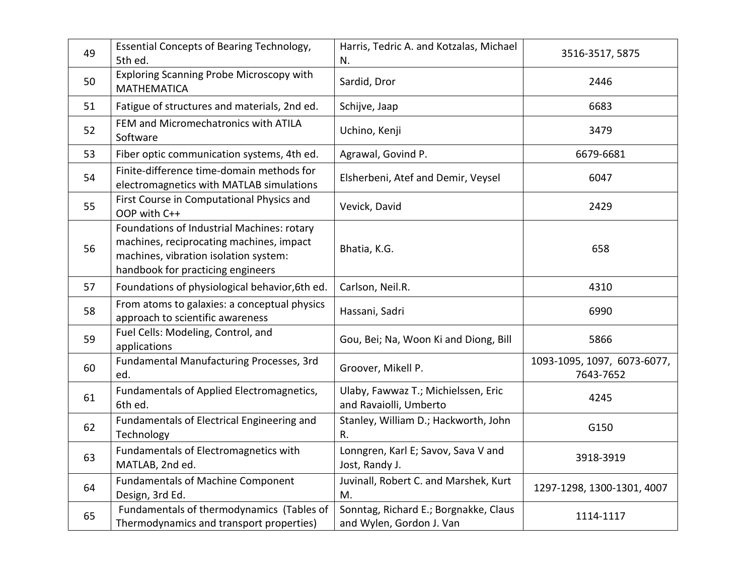| 49 | Essential Concepts of Bearing Technology,<br>5th ed.                                                                                                                 | Harris, Tedric A. and Kotzalas, Michael<br>N.                     | 3516-3517, 5875                          |
|----|----------------------------------------------------------------------------------------------------------------------------------------------------------------------|-------------------------------------------------------------------|------------------------------------------|
| 50 | Exploring Scanning Probe Microscopy with<br><b>MATHEMATICA</b>                                                                                                       | Sardid, Dror                                                      | 2446                                     |
| 51 | Fatigue of structures and materials, 2nd ed.                                                                                                                         | Schijve, Jaap                                                     | 6683                                     |
| 52 | FEM and Micromechatronics with ATILA<br>Software                                                                                                                     | Uchino, Kenji                                                     | 3479                                     |
| 53 | Fiber optic communication systems, 4th ed.                                                                                                                           | Agrawal, Govind P.                                                | 6679-6681                                |
| 54 | Finite-difference time-domain methods for<br>electromagnetics with MATLAB simulations                                                                                | Elsherbeni, Atef and Demir, Veysel                                | 6047                                     |
| 55 | First Course in Computational Physics and<br>OOP with C++                                                                                                            | Vevick, David                                                     | 2429                                     |
| 56 | Foundations of Industrial Machines: rotary<br>machines, reciprocating machines, impact<br>machines, vibration isolation system:<br>handbook for practicing engineers | Bhatia, K.G.                                                      | 658                                      |
| 57 | Foundations of physiological behavior, 6th ed.                                                                                                                       | Carlson, Neil.R.                                                  | 4310                                     |
| 58 | From atoms to galaxies: a conceptual physics<br>approach to scientific awareness                                                                                     | Hassani, Sadri                                                    | 6990                                     |
| 59 | Fuel Cells: Modeling, Control, and<br>applications                                                                                                                   | Gou, Bei; Na, Woon Ki and Diong, Bill                             | 5866                                     |
| 60 | Fundamental Manufacturing Processes, 3rd<br>ed.                                                                                                                      | Groover, Mikell P.                                                | 1093-1095, 1097, 6073-6077,<br>7643-7652 |
| 61 | Fundamentals of Applied Electromagnetics,<br>6th ed.                                                                                                                 | Ulaby, Fawwaz T.; Michielssen, Eric<br>and Ravaiolli, Umberto     | 4245                                     |
| 62 | Fundamentals of Electrical Engineering and<br>Technology                                                                                                             | Stanley, William D.; Hackworth, John<br>R.                        | G150                                     |
| 63 | Fundamentals of Electromagnetics with<br>MATLAB, 2nd ed.                                                                                                             | Lonngren, Karl E; Savov, Sava V and<br>Jost, Randy J.             | 3918-3919                                |
| 64 | <b>Fundamentals of Machine Component</b><br>Design, 3rd Ed.                                                                                                          | Juvinall, Robert C. and Marshek, Kurt<br>M.                       | 1297-1298, 1300-1301, 4007               |
| 65 | Fundamentals of thermodynamics (Tables of<br>Thermodynamics and transport properties)                                                                                | Sonntag, Richard E.; Borgnakke, Claus<br>and Wylen, Gordon J. Van | 1114-1117                                |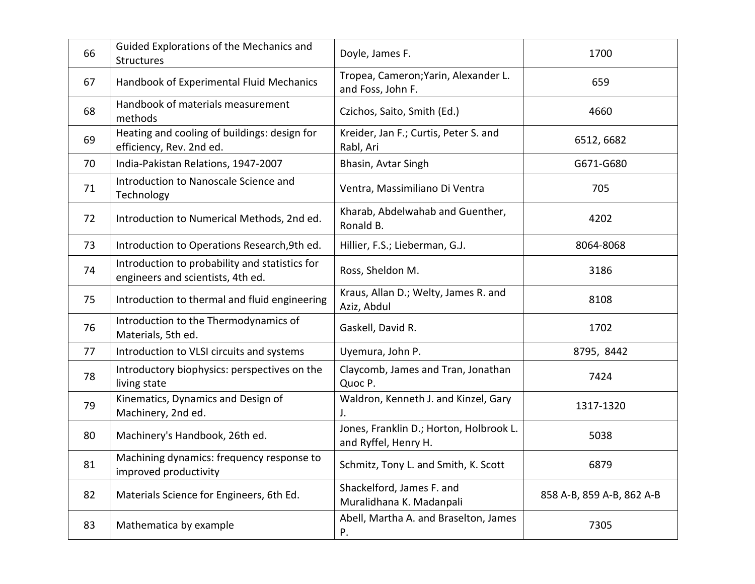| 66 | Guided Explorations of the Mechanics and<br><b>Structures</b>                       | Doyle, James F.                                                 | 1700                      |
|----|-------------------------------------------------------------------------------------|-----------------------------------------------------------------|---------------------------|
| 67 | Handbook of Experimental Fluid Mechanics                                            | Tropea, Cameron; Yarin, Alexander L.<br>and Foss, John F.       | 659                       |
| 68 | Handbook of materials measurement<br>methods                                        | Czichos, Saito, Smith (Ed.)                                     | 4660                      |
| 69 | Heating and cooling of buildings: design for<br>efficiency, Rev. 2nd ed.            | Kreider, Jan F.; Curtis, Peter S. and<br>Rabl, Ari              | 6512, 6682                |
| 70 | India-Pakistan Relations, 1947-2007                                                 | Bhasin, Avtar Singh                                             | G671-G680                 |
| 71 | Introduction to Nanoscale Science and<br>Technology                                 | Ventra, Massimiliano Di Ventra                                  | 705                       |
| 72 | Introduction to Numerical Methods, 2nd ed.                                          | Kharab, Abdelwahab and Guenther,<br>Ronald B.                   | 4202                      |
| 73 | Introduction to Operations Research, 9th ed.                                        | Hillier, F.S.; Lieberman, G.J.                                  | 8064-8068                 |
| 74 | Introduction to probability and statistics for<br>engineers and scientists, 4th ed. | Ross, Sheldon M.                                                | 3186                      |
| 75 | Introduction to thermal and fluid engineering                                       | Kraus, Allan D.; Welty, James R. and<br>Aziz, Abdul             | 8108                      |
| 76 | Introduction to the Thermodynamics of<br>Materials, 5th ed.                         | Gaskell, David R.                                               | 1702                      |
| 77 | Introduction to VLSI circuits and systems                                           | Uyemura, John P.                                                | 8795, 8442                |
| 78 | Introductory biophysics: perspectives on the<br>living state                        | Claycomb, James and Tran, Jonathan<br>Quoc P.                   | 7424                      |
| 79 | Kinematics, Dynamics and Design of<br>Machinery, 2nd ed.                            | Waldron, Kenneth J. and Kinzel, Gary<br>J.                      | 1317-1320                 |
| 80 | Machinery's Handbook, 26th ed.                                                      | Jones, Franklin D.; Horton, Holbrook L.<br>and Ryffel, Henry H. | 5038                      |
| 81 | Machining dynamics: frequency response to<br>improved productivity                  | Schmitz, Tony L. and Smith, K. Scott                            | 6879                      |
| 82 | Materials Science for Engineers, 6th Ed.                                            | Shackelford, James F. and<br>Muralidhana K. Madanpali           | 858 A-B, 859 A-B, 862 A-B |
| 83 | Mathematica by example                                                              | Abell, Martha A. and Braselton, James<br>Р.                     | 7305                      |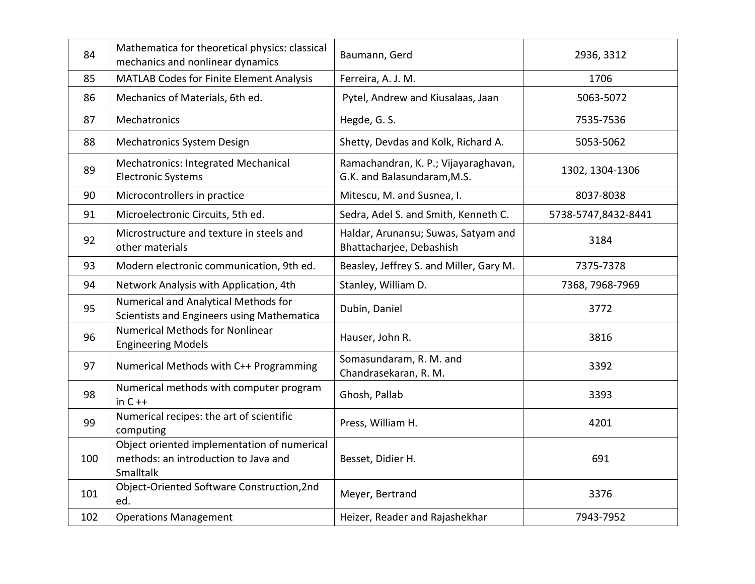| 84  | Mathematica for theoretical physics: classical<br>mechanics and nonlinear dynamics               | Baumann, Gerd                                                       | 2936, 3312          |
|-----|--------------------------------------------------------------------------------------------------|---------------------------------------------------------------------|---------------------|
| 85  | <b>MATLAB Codes for Finite Element Analysis</b>                                                  | Ferreira, A. J. M.                                                  | 1706                |
| 86  | Mechanics of Materials, 6th ed.                                                                  | Pytel, Andrew and Kiusalaas, Jaan                                   | 5063-5072           |
| 87  | Mechatronics                                                                                     | Hegde, G. S.                                                        | 7535-7536           |
| 88  | <b>Mechatronics System Design</b>                                                                | Shetty, Devdas and Kolk, Richard A.                                 | 5053-5062           |
| 89  | Mechatronics: Integrated Mechanical<br><b>Electronic Systems</b>                                 | Ramachandran, K. P.; Vijayaraghavan,<br>G.K. and Balasundaram, M.S. | 1302, 1304-1306     |
| 90  | Microcontrollers in practice                                                                     | Mitescu, M. and Susnea, I.                                          | 8037-8038           |
| 91  | Microelectronic Circuits, 5th ed.                                                                | Sedra, Adel S. and Smith, Kenneth C.                                | 5738-5747,8432-8441 |
| 92  | Microstructure and texture in steels and<br>other materials                                      | Haldar, Arunansu; Suwas, Satyam and<br>Bhattacharjee, Debashish     | 3184                |
| 93  | Modern electronic communication, 9th ed.                                                         | Beasley, Jeffrey S. and Miller, Gary M.                             | 7375-7378           |
| 94  | Network Analysis with Application, 4th                                                           | Stanley, William D.                                                 | 7368, 7968-7969     |
| 95  | Numerical and Analytical Methods for<br>Scientists and Engineers using Mathematica               | Dubin, Daniel                                                       | 3772                |
| 96  | <b>Numerical Methods for Nonlinear</b><br><b>Engineering Models</b>                              | Hauser, John R.                                                     | 3816                |
| 97  | Numerical Methods with C++ Programming                                                           | Somasundaram, R. M. and<br>Chandrasekaran, R. M.                    | 3392                |
| 98  | Numerical methods with computer program<br>in $C++$                                              | Ghosh, Pallab                                                       | 3393                |
| 99  | Numerical recipes: the art of scientific<br>computing                                            | Press, William H.                                                   | 4201                |
| 100 | Object oriented implementation of numerical<br>methods: an introduction to Java and<br>Smalltalk | Besset, Didier H.                                                   | 691                 |
| 101 | Object-Oriented Software Construction, 2nd<br>ed.                                                | Meyer, Bertrand                                                     | 3376                |
| 102 | <b>Operations Management</b>                                                                     | Heizer, Reader and Rajashekhar                                      | 7943-7952           |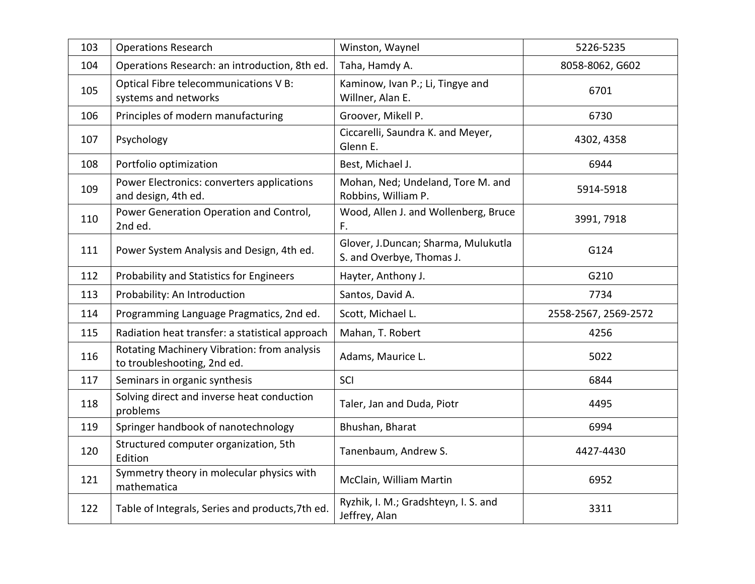| 103 | <b>Operations Research</b>                                                 | Winston, Waynel                                                  | 5226-5235            |
|-----|----------------------------------------------------------------------------|------------------------------------------------------------------|----------------------|
| 104 | Operations Research: an introduction, 8th ed.                              | Taha, Hamdy A.                                                   | 8058-8062, G602      |
| 105 | Optical Fibre telecommunications V B:<br>systems and networks              | Kaminow, Ivan P.; Li, Tingye and<br>Willner, Alan E.             | 6701                 |
| 106 | Principles of modern manufacturing                                         | Groover, Mikell P.                                               | 6730                 |
| 107 | Psychology                                                                 | Ciccarelli, Saundra K. and Meyer,<br>Glenn E.                    | 4302, 4358           |
| 108 | Portfolio optimization                                                     | Best, Michael J.                                                 | 6944                 |
| 109 | Power Electronics: converters applications<br>and design, 4th ed.          | Mohan, Ned; Undeland, Tore M. and<br>Robbins, William P.         | 5914-5918            |
| 110 | Power Generation Operation and Control,<br>2nd ed.                         | Wood, Allen J. and Wollenberg, Bruce<br>F.                       | 3991, 7918           |
| 111 | Power System Analysis and Design, 4th ed.                                  | Glover, J.Duncan; Sharma, Mulukutla<br>S. and Overbye, Thomas J. | G124                 |
| 112 | Probability and Statistics for Engineers                                   | Hayter, Anthony J.                                               | G210                 |
| 113 | Probability: An Introduction                                               | Santos, David A.                                                 | 7734                 |
| 114 | Programming Language Pragmatics, 2nd ed.                                   | Scott, Michael L.                                                | 2558-2567, 2569-2572 |
| 115 | Radiation heat transfer: a statistical approach                            | Mahan, T. Robert                                                 | 4256                 |
| 116 | Rotating Machinery Vibration: from analysis<br>to troubleshooting, 2nd ed. | Adams, Maurice L.                                                | 5022                 |
| 117 | Seminars in organic synthesis                                              | SCI                                                              | 6844                 |
| 118 | Solving direct and inverse heat conduction<br>problems                     | Taler, Jan and Duda, Piotr                                       | 4495                 |
| 119 | Springer handbook of nanotechnology                                        | Bhushan, Bharat                                                  | 6994                 |
| 120 | Structured computer organization, 5th<br>Edition                           | Tanenbaum, Andrew S.                                             | 4427-4430            |
| 121 | Symmetry theory in molecular physics with<br>mathematica                   | McClain, William Martin                                          | 6952                 |
| 122 | Table of Integrals, Series and products, 7th ed.                           | Ryzhik, I. M.; Gradshteyn, I. S. and<br>Jeffrey, Alan            | 3311                 |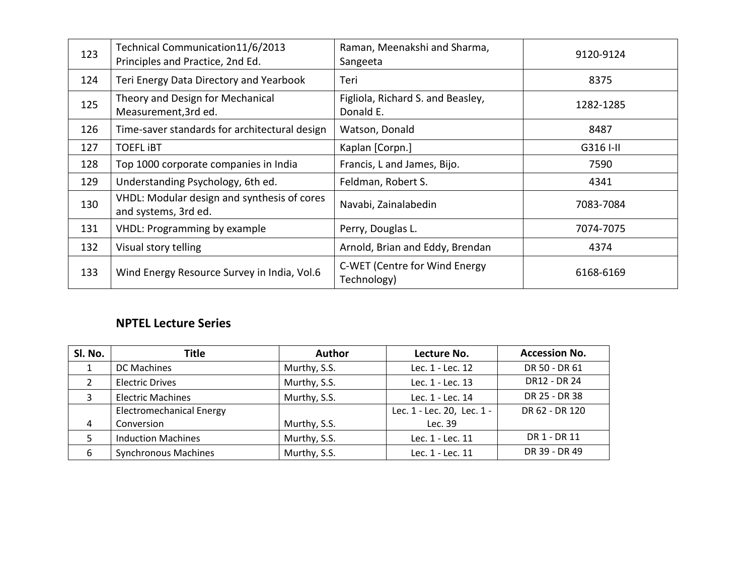| 123 | Technical Communication11/6/2013<br>Principles and Practice, 2nd Ed. | Raman, Meenakshi and Sharma,<br>Sangeeta       | 9120-9124 |
|-----|----------------------------------------------------------------------|------------------------------------------------|-----------|
| 124 | Teri Energy Data Directory and Yearbook                              | Teri                                           | 8375      |
| 125 | Theory and Design for Mechanical<br>Measurement, 3rd ed.             | Figliola, Richard S. and Beasley,<br>Donald E. | 1282-1285 |
| 126 | Time-saver standards for architectural design                        | Watson, Donald                                 | 8487      |
| 127 | <b>TOEFL IBT</b>                                                     | Kaplan [Corpn.]                                | G316 I-II |
| 128 | Top 1000 corporate companies in India                                | Francis, L and James, Bijo.                    | 7590      |
| 129 | Understanding Psychology, 6th ed.                                    | Feldman, Robert S.                             | 4341      |
| 130 | VHDL: Modular design and synthesis of cores<br>and systems, 3rd ed.  | Navabi, Zainalabedin                           | 7083-7084 |
| 131 | <b>VHDL: Programming by example</b>                                  | Perry, Douglas L.                              | 7074-7075 |
| 132 | Visual story telling                                                 | Arnold, Brian and Eddy, Brendan                | 4374      |
| 133 | Wind Energy Resource Survey in India, Vol.6                          | C-WET (Centre for Wind Energy<br>Technology)   | 6168-6169 |

#### **NPTEL Lecture Series**

| SI. No. | <b>Title</b>                    | <b>Author</b> | Lecture No.                | <b>Accession No.</b> |
|---------|---------------------------------|---------------|----------------------------|----------------------|
|         | <b>DC Machines</b>              | Murthy, S.S.  | Lec. 1 - Lec. 12           | DR 50 - DR 61        |
|         | <b>Electric Drives</b>          | Murthy, S.S.  | Lec. 1 - Lec. 13           | DR12 - DR 24         |
| 3       | <b>Electric Machines</b>        | Murthy, S.S.  | Lec. 1 - Lec. 14           | DR 25 - DR 38        |
|         | <b>Electromechanical Energy</b> |               | Lec. 1 - Lec. 20, Lec. 1 - | DR 62 - DR 120       |
| 4       | Conversion                      | Murthy, S.S.  | Lec. 39                    |                      |
|         | <b>Induction Machines</b>       | Murthy, S.S.  | Lec. 1 - Lec. 11           | DR 1 - DR 11         |
| 6       | <b>Synchronous Machines</b>     | Murthy, S.S.  | Lec. 1 - Lec. 11           | DR 39 - DR 49        |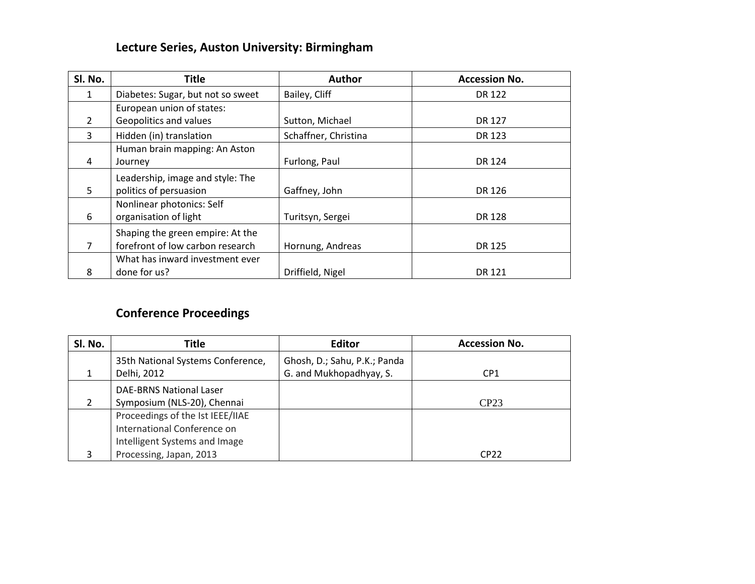### **Lecture Series, Auston University: Birmingham**

| SI. No.        | <b>Title</b>                      | <b>Author</b>        | <b>Accession No.</b> |
|----------------|-----------------------------------|----------------------|----------------------|
| 1              | Diabetes: Sugar, but not so sweet | Bailey, Cliff        | <b>DR 122</b>        |
|                | European union of states:         |                      |                      |
| $\overline{2}$ | Geopolitics and values            | Sutton, Michael      | DR 127               |
| 3              | Hidden (in) translation           | Schaffner, Christina | DR 123               |
|                | Human brain mapping: An Aston     |                      |                      |
| 4              | Journey                           | Furlong, Paul        | DR 124               |
|                | Leadership, image and style: The  |                      |                      |
| 5              | politics of persuasion            | Gaffney, John        | DR 126               |
|                | Nonlinear photonics: Self         |                      |                      |
| 6              | organisation of light             | Turitsyn, Sergei     | <b>DR128</b>         |
|                | Shaping the green empire: At the  |                      |                      |
| 7              | forefront of low carbon research  | Hornung, Andreas     | DR 125               |
|                | What has inward investment ever   |                      |                      |
| 8              | done for us?                      | Driffield, Nigel     | DR 121               |

# **Conference Proceedings**

| SI. No. | Title                             | <b>Editor</b>                | <b>Accession No.</b> |
|---------|-----------------------------------|------------------------------|----------------------|
|         | 35th National Systems Conference, | Ghosh, D.; Sahu, P.K.; Panda |                      |
|         | Delhi, 2012                       | G. and Mukhopadhyay, S.      | CP <sub>1</sub>      |
|         | <b>DAE-BRNS National Laser</b>    |                              |                      |
| 2       | Symposium (NLS-20), Chennai       |                              | CP23                 |
|         | Proceedings of the Ist IEEE/IIAE  |                              |                      |
|         | International Conference on       |                              |                      |
|         | Intelligent Systems and Image     |                              |                      |
|         | Processing, Japan, 2013           |                              | CP22                 |